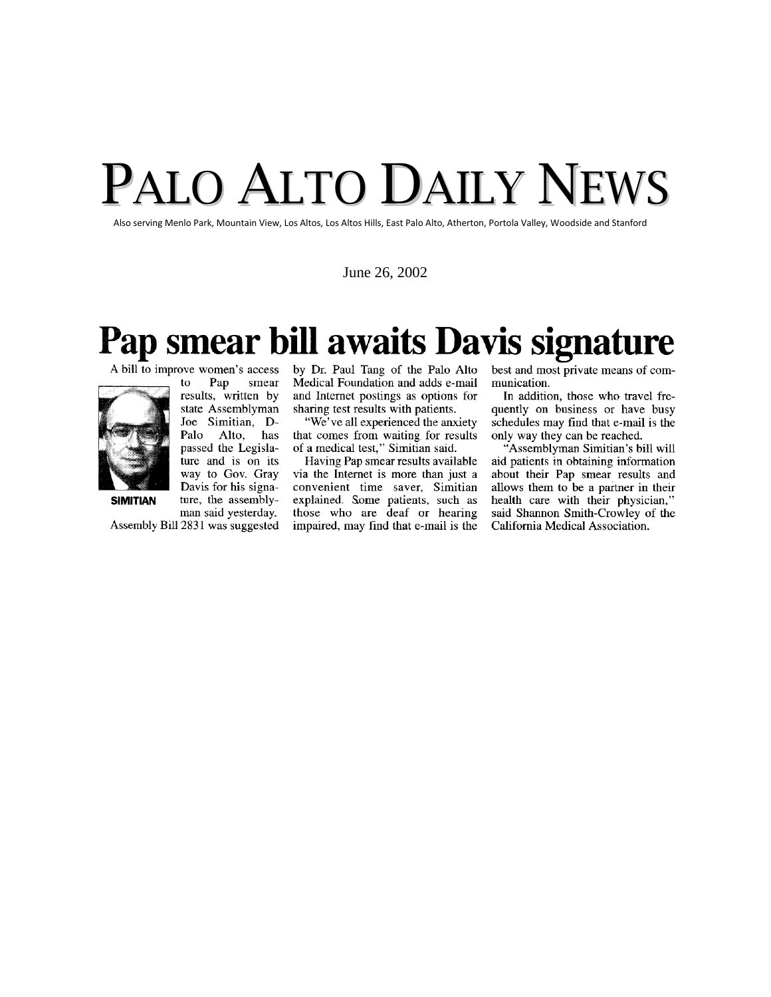## PALO ALTO DAILY NEWS

Also serving Menlo Park, Mountain View, Los Altos, Los Altos Hills, East Palo Alto, Atherton, Portola Valley, Woodside and Stanford

June 26, 2002

## Pap smear bill awaits Davis signature

A bill to improve women's access



Pap smear to results, written by state Assemblyman Joe Simitian, D-Palo Alto, has passed the Legislature and is on its way to Gov. Gray Davis for his signature, the assemblyman said yesterday.

Assembly Bill 2831 was suggested

by Dr. Paul Tang of the Palo Alto Medical Foundation and adds e-mail and Internet postings as options for sharing test results with patients.

"We've all experienced the anxiety that comes from waiting for results of a medical test," Simitian said.

Having Pap smear results available via the Internet is more than just a convenient time saver, Simitian explained. Some patients, such as those who are deaf or hearing impaired, may find that e-mail is the

best and most private means of communication.

In addition, those who travel frequently on business or have busy schedules may find that e-mail is the only way they can be reached.

"Assemblyman Simitian's bill will aid patients in obtaining information about their Pap smear results and allows them to be a partner in their health care with their physician," said Shannon Smith-Crowley of the California Medical Association.